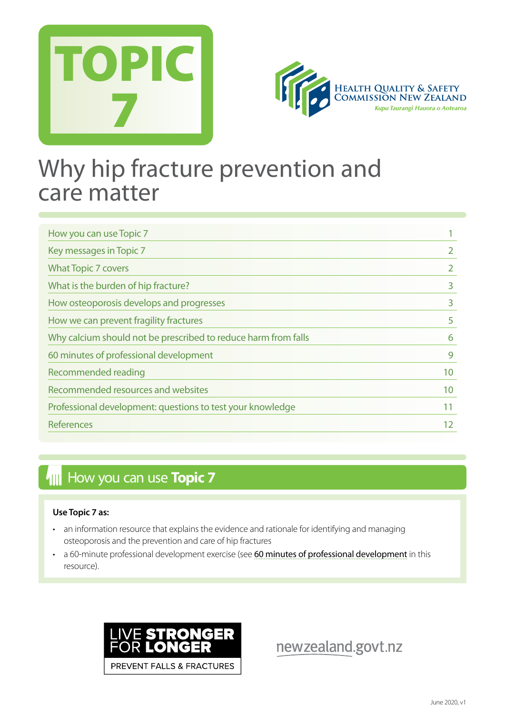



## Why hip fracture prevention and care matter

| How you can use Topic 7                                        |    |
|----------------------------------------------------------------|----|
| Key messages in Topic 7                                        |    |
| <b>What Topic 7 covers</b>                                     |    |
| What is the burden of hip fracture?                            | 3  |
| How osteoporosis develops and progresses                       | 3  |
| How we can prevent fragility fractures                         | 5  |
| Why calcium should not be prescribed to reduce harm from falls | 6  |
| 60 minutes of professional development                         | 9  |
| Recommended reading                                            | 10 |
| Recommended resources and websites                             | 10 |
| Professional development: questions to test your knowledge     | 11 |
| <b>References</b>                                              | 12 |

## **How you can use Topic 7**

#### **Use Topic 7 as:**

- an information resource that explains the evidence and rationale for identifying and managing osteoporosis and the prevention and care of hip fractures
- a 60-minute professional development exercise (see [60 minutes of professional development](#page-8-0) in this resource).



newzealand.govt.nz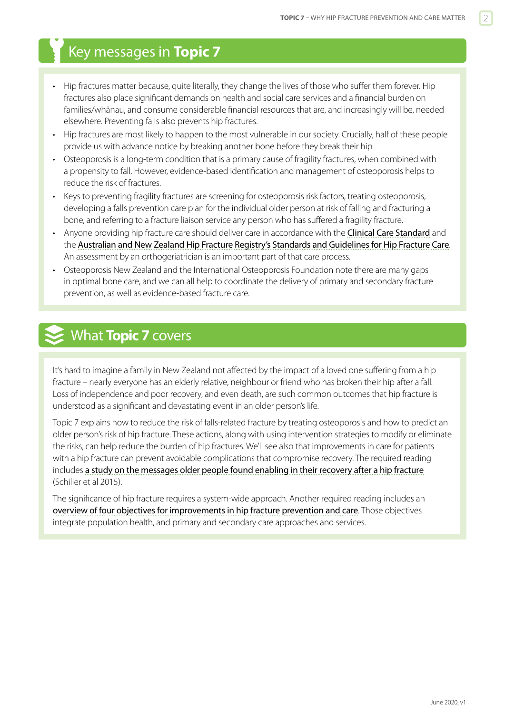## <span id="page-1-0"></span>Key messages in **Topic 7**

- Hip fractures matter because, quite literally, they change the lives of those who suffer them forever. Hip fractures also place significant demands on health and social care services and a financial burden on families/whānau, and consume considerable financial resources that are, and increasingly will be, needed elsewhere. Preventing falls also prevents hip fractures.
- Hip fractures are most likely to happen to the most vulnerable in our society. Crucially, half of these people provide us with advance notice by breaking another bone before they break their hip.
- Osteoporosis is a long-term condition that is a primary cause of fragility fractures, when combined with a propensity to fall. However, evidence-based identification and management of osteoporosis helps to reduce the risk of fractures.
- Keys to preventing fragility fractures are screening for osteoporosis risk factors, treating osteoporosis, developing a falls prevention care plan for the individual older person at risk of falling and fracturing a bone, and referring to a fracture liaison service any person who has suffered a fragility fracture.
- Anyone providing hip fracture care should deliver care in accordance with the [Clinical Care Standard](https://www.safetyandquality.gov.au/our-work/clinical-care-standards/hip-fracture-care-clinical-care-standard/) and the [Australian and New Zealand Hip Fracture Registry's Standards and Guidelines for Hip Fracture Care](http://anzhfr.org/guidelines-and-standards/). An assessment by an orthogeriatrician is an important part of that care process.
- Osteoporosis New Zealand and the International Osteoporosis Foundation note there are many gaps in optimal bone care, and we can all help to coordinate the delivery of primary and secondary fracture prevention, as well as evidence-based fracture care.

## What **Topic 7** covers

It's hard to imagine a family in New Zealand not affected by the impact of a loved one suffering from a hip fracture – nearly everyone has an elderly relative, neighbour or friend who has broken their hip after a fall. Loss of independence and poor recovery, and even death, are such common outcomes that hip fracture is understood as a significant and devastating event in an older person's life.

Topic 7 explains how to reduce the risk of falls-related fracture by treating osteoporosis and how to predict an older person's risk of hip fracture. These actions, along with using intervention strategies to modify or eliminate the risks, can help reduce the burden of hip fractures. We'll see also that improvements in care for patients with a hip fracture can prevent avoidable complications that compromise recovery. The required reading includes [a study on the messages older people found enabling in their recovery after a hip fracture](https://www.ncbi.nlm.nih.gov/pmc/articles/PMC4298293/) (Schiller et al 2015).

The significance of hip fracture requires a system-wide approach. Another required reading includes an [overview of four objectives for improvements in hip fracture prevention and care](https://www.hqsc.govt.nz/our-programmes/reducing-harm-from-falls/publications-and-resources/publication/2878). Those objectives integrate population health, and primary and secondary care approaches and services.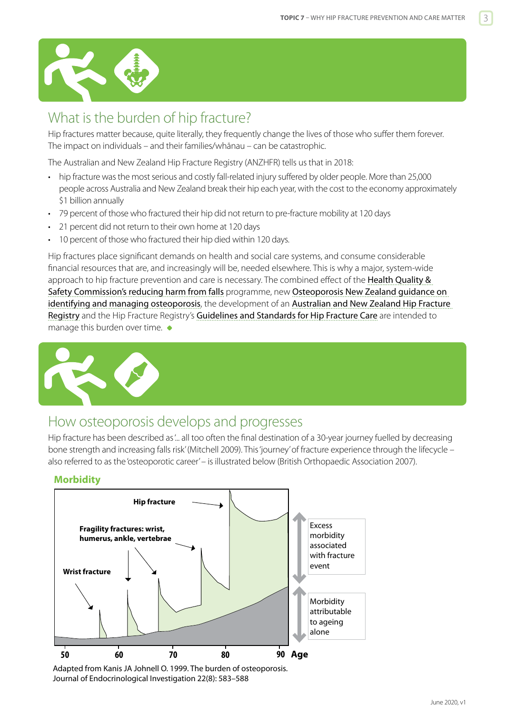<span id="page-2-0"></span>

## What is the burden of hip fracture?

Hip fractures matter because, quite literally, they frequently change the lives of those who suffer them forever. The impact on individuals – and their families/whānau – can be catastrophic.

The Australian and New Zealand Hip Fracture Registry (ANZHFR) tells us that in 2018:

- hip fracture was the most serious and costly fall-related injury suffered by older people. More than 25,000 people across Australia and New Zealand break their hip each year, with the cost to the economy approximately \$1 billion annually
- 79 percent of those who fractured their hip did not return to pre-fracture mobility at 120 days
- 21 percent did not return to their own home at 120 days
- 10 percent of those who fractured their hip died within 120 days.

Hip fractures place significant demands on health and social care systems, and consume considerable financial resources that are, and increasingly will be, needed elsewhere. This is why a major, system-wide approach to hip fracture prevention and care is necessary. The combined effect of the Health Quality & [Safety Commission's reducing harm from falls](http://www.hqsc.govt.nz/our-programmes/reducing-harm-from-falls/) programme, new [Osteoporosis New Zealand guidance on](http://osteoporosis.org.nz/resources/health-professionals/clinical-guidance/)  [identifying and managing osteoporosis](http://osteoporosis.org.nz/resources/health-professionals/clinical-guidance/), the development of an [Australian and New Zealand Hip Fracture](http://anzhfr.org/)  [Registry](http://anzhfr.org/) and the Hip Fracture Registry's Guideline[s and Standards for Hip Fracture Care](http://anzhfr.org/guidelines-and-standards/) are intended to manage this burden over time.



#### How osteoporosis develops and progresses

Hip fracture has been described as '... all too often the final destination of a 30-year journey fuelled by decreasing bone strength and increasing falls risk' (Mitchell 2009). This 'journey' of fracture experience through the lifecycle – also referred to as the 'osteoporotic career' – is illustrated below (British Orthopaedic Association 2007).

#### **Morbidity**



Adapted from Kanis JA Johnell O. 1999. The burden of osteoporosis. Journal of Endocrinological Investigation 22(8): 583–588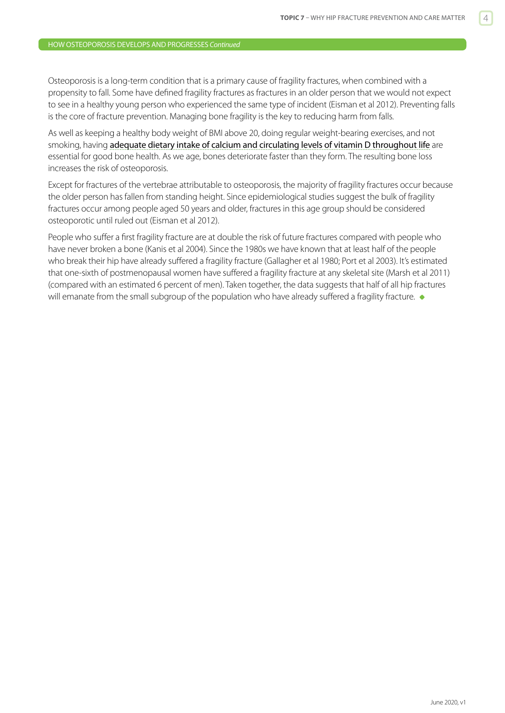Osteoporosis is a long-term condition that is a primary cause of fragility fractures, when combined with a propensity to fall. Some have defined fragility fractures as fractures in an older person that we would not expect to see in a healthy young person who experienced the same type of incident (Eisman et al 2012). Preventing falls is the core of fracture prevention. Managing bone fragility is the key to reducing harm from falls.

As well as keeping a healthy body weight of BMI above 20, doing regular weight-bearing exercises, and not smoking, having [adequate dietary intake of calcium and circulating levels of vitamin D throughout life](http://www.health.govt.nz/publication/food-and-nutrition-guidelines-healthy-older-people-background-paper) are essential for good bone health. As we age, bones deteriorate faster than they form. The resulting bone loss increases the risk of osteoporosis.

Except for fractures of the vertebrae attributable to osteoporosis, the majority of fragility fractures occur because the older person has fallen from standing height. Since epidemiological studies suggest the bulk of fragility fractures occur among people aged 50 years and older, fractures in this age group should be considered osteoporotic until ruled out (Eisman et al 2012).

People who suffer a first fragility fracture are at double the risk of future fractures compared with people who have never broken a bone (Kanis et al 2004). Since the 1980s we have known that at least half of the people who break their hip have already suffered a fragility fracture (Gallagher et al 1980; Port et al 2003). It's estimated that one-sixth of postmenopausal women have suffered a fragility fracture at any skeletal site (Marsh et al 2011) (compared with an estimated 6 percent of men). Taken together, the data suggests that half of all hip fractures will emanate from the small subgroup of the population who have already suffered a fragility fracture.  $\bullet$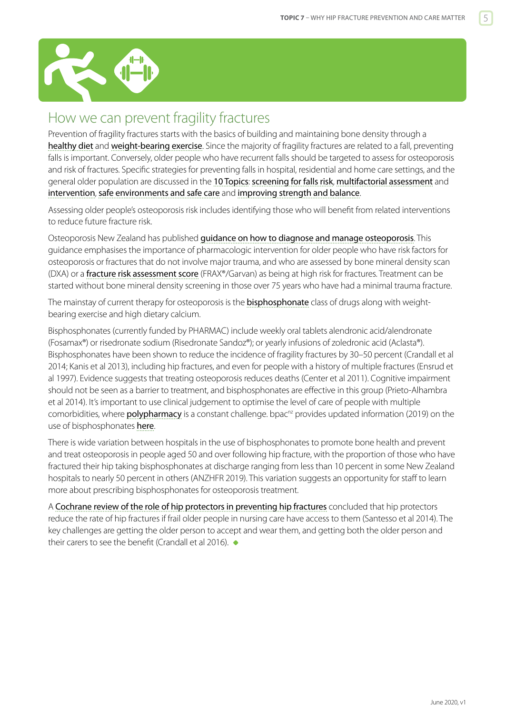<span id="page-4-0"></span>

## How we can prevent fragility fractures

Prevention of fragility fractures starts with the basics of building and maintaining bone density through a [healthy diet](http://www.iofbonehealth.org/nutrition) and [weight-bearing exercise](https://www.iofbonehealth.org/exercise-recommendations). Since the majority of fragility fractures are related to a fall, preventing falls is important. Conversely, older people who have recurrent falls should be targeted to assess for osteoporosis and risk of fractures. Specific strategies for preventing falls in hospital, residential and home care settings, and the general older population are discussed in the [10 Topics](http://www.hqsc.govt.nz/our-programmes/reducing-harm-from-falls/10-topics/): [screening for falls risk](https://www.hqsc.govt.nz/our-programmes/reducing-harm-from-falls/publications-and-resources/publication/2873/), [multifactorial assessment](https://www.hqsc.govt.nz/our-programmes/reducing-harm-from-falls/publications-and-resources/publication/2874) and [intervention](https://www.hqsc.govt.nz/our-programmes/reducing-harm-from-falls/publications-and-resources/publication/2891), [safe environments and safe care](https://www.hqsc.govt.nz/our-programmes/reducing-harm-from-falls/publications-and-resources/publication/2875) and [improving strength and balance](https://www.hqsc.govt.nz/our-programmes/reducing-harm-from-falls/publications-and-resources/publication/2882).

Assessing older people's osteoporosis risk includes identifying those who will benefit from related interventions to reduce future fracture risk.

Osteoporosis New Zealand has published quidance on how to diagnose and manage osteoporosis. This guidance emphasises the importance of pharmacologic intervention for older people who have risk factors for osteoporosis or fractures that do not involve major trauma, and who are assessed by bone mineral density scan (DXA) or a [fracture risk assessment score](http://osteoporosis.org.nz/resources/health-professionals/fracture-risk-calculators/) (FRAX®/Garvan) as being at high risk for fractures. Treatment can be started without bone mineral density screening in those over 75 years who have had a minimal trauma fracture.

The mainstay of current therapy for osteoporosis is the **[bisphosphonate](http://www.nzf.org.nz/nzf_4017.html)** class of drugs along with weightbearing exercise and high dietary calcium.

Bisphosphonates (currently funded by PHARMAC) include weekly oral tablets alendronic acid/alendronate (Fosamax®) or risedronate sodium (Risedronate Sandoz®); or yearly infusions of zoledronic acid (Aclasta®). Bisphosphonates have been shown to reduce the incidence of fragility fractures by 30–50 percent (Crandall et al 2014; Kanis et al 2013), including hip fractures, and even for people with a history of multiple fractures (Ensrud et al 1997). Evidence suggests that treating osteoporosis reduces deaths (Center et al 2011). Cognitive impairment should not be seen as a barrier to treatment, and bisphosphonates are effective in this group (Prieto-Alhambra et al 2014). It's important to use clinical judgement to optimise the level of care of people with multiple comorbidities, where **[polypharmacy](https://www.hqsc.govt.nz/our-programmes/reducing-harm-from-falls/publications-and-resources/publication/2879)** is a constant challenge. bpac<sup>nz</sup> provides updated information (2019) on the use of bisphosphonates [here](https://bpac.org.nz/2019/bisphosphonates.aspx).

There is wide variation between hospitals in the use of bisphosphonates to promote bone health and prevent and treat osteoporosis in people aged 50 and over following hip fracture, with the proportion of those who have fractured their hip taking bisphosphonates at discharge ranging from less than 10 percent in some New Zealand hospitals to nearly 50 percent in others (ANZHFR 2019). This variation suggests an opportunity for staff to learn more about prescribing bisphosphonates for osteoporosis treatment.

A [Cochrane review of the role of hip protectors in preventing hip fractures](http://onlinelibrary.wiley.com/doi/10.1002/14651858.CD001255.pub4/abstract) concluded that hip protectors reduce the rate of hip fractures if frail older people in nursing care have access to them (Santesso et al 2014). The key challenges are getting the older person to accept and wear them, and getting both the older person and their carers to see the benefit (Crandall et al 2016).  $\bullet$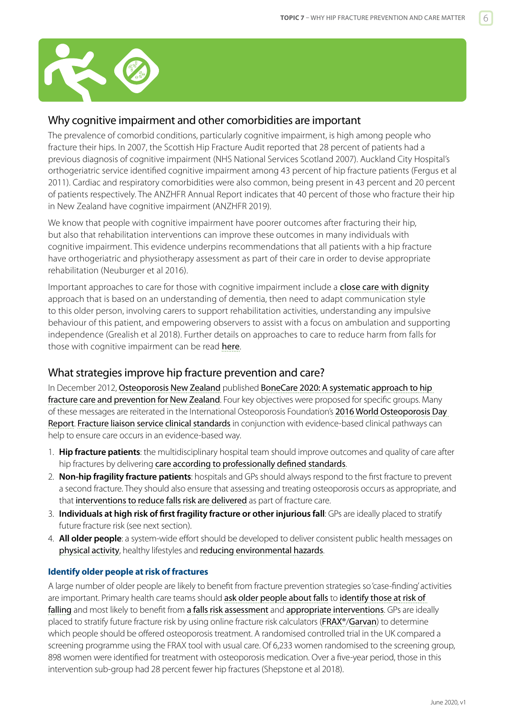<span id="page-5-0"></span>

#### Why cognitive impairment and other comorbidities are important

The prevalence of comorbid conditions, particularly cognitive impairment, is high among people who fracture their hips. In 2007, the Scottish Hip Fracture Audit reported that 28 percent of patients had a previous diagnosis of cognitive impairment (NHS National Services Scotland 2007). Auckland City Hospital's orthogeriatric service identified cognitive impairment among 43 percent of hip fracture patients (Fergus et al 2011). Cardiac and respiratory comorbidities were also common, being present in 43 percent and 20 percent of patients respectively. The ANZHFR Annual Report indicates that 40 percent of those who fracture their hip in New Zealand have cognitive impairment (ANZHFR 2019).

We know that people with cognitive impairment have poorer outcomes after fracturing their hip, but also that rehabilitation interventions can improve these outcomes in many individuals with cognitive impairment. This evidence underpins recommendations that all patients with a hip fracture have orthogeriatric and physiotherapy assessment as part of their care in order to devise appropriate rehabilitation (Neuburger et al 2016).

Important approaches to care for those with cognitive impairment include a [close care with dignity](https://www.hqsc.govt.nz/our-programmes/reducing-harm-from-falls/publications-and-resources/publication/3657) approach that is based on an understanding of dementia, then need to adapt communication style to this older person, involving carers to support rehabilitation activities, understanding any impulsive behaviour of this patient, and empowering observers to assist with a focus on ambulation and supporting independence (Grealish et al 2018). Further details on approaches to care to reduce harm from falls for those with cognitive impairment can be read [here](https://www.hqsc.govt.nz/our-programmes/reducing-harm-from-falls/publications-and-resources/publication/3656/).

#### What strategies improve hip fracture prevention and care?

In December 2012, [Osteoporosis New Zealand](https://osteoporosis.org.nz) published BoneCare 2020: A systematic approach to hip [fracture care and prevention for New Zealand](https://osteoporosis.org.nz/bones-care-2020/). Four key objectives were proposed for specific groups. Many of these messages are reiterated in the International Osteoporosis Foundation's 2016 World Osteoporosis Day [Report](http://worldosteoporosisday.org/2016-thematic-report). [Fracture liaison service clinical standards](https://osteoporosis.org.nz/resources/health-professionals/clinical-standards-for-fls/) in conjunction with evidence-based clinical pathways can help to ensure care occurs in an evidence-based way.

- 1. **Hip fracture patients**: the multidisciplinary hospital team should improve outcomes and quality of care after hip fractures by delivering [care according to professionally defined standards](http://anzhfr.org/wp-content/uploads/2016/07/ANZ-Guideline-for-Hip-Fracture-Care.pdf).
- 2. **Non-hip fragility fracture patients**: hospitals and GPs should always respond to the first fracture to prevent a second fracture. They should also ensure that assessing and treating osteoporosis occurs as appropriate, and that [interventions to reduce falls risk are delivered](https://www.hqsc.govt.nz/our-programmes/reducing-harm-from-falls/publications-and-resources/publication/2891) as part of fracture care.
- 3. **Individuals at high risk of first fragility fracture or other injurious fall**: GPs are ideally placed to stratify future fracture risk (see next section).
- 4. **All older people**: a system-wide effort should be developed to deliver consistent public health messages on [physical activity](https://www.hqsc.govt.nz/our-programmes/reducing-harm-from-falls/publications-and-resources/publication/2882), healthy lifestyles and [reducing environmental hazards](https://www.hqsc.govt.nz/our-programmes/reducing-harm-from-falls/publications-and-resources/publication/2875).

#### **Identify older people at risk of fractures**

A large number of older people are likely to benefit from fracture prevention strategies so 'case-finding' activities are important. Primary health care teams should [ask older people about falls](http://www.hqsc.govt.nz/our-programmes/reducing-harm-from-falls/projects/ask-assess-act/) to identify those at risk of [falling](https://www.hqsc.govt.nz/our-programmes/reducing-harm-from-falls/publications-and-resources/publication/2873/) and most likely to benefit from [a falls risk assessment](https://www.hqsc.govt.nz/our-programmes/reducing-harm-from-falls/publications-and-resources/publication/2874) and [appropriate interventions](https://www.hqsc.govt.nz/our-programmes/reducing-harm-from-falls/publications-and-resources/publication/2891). GPs are ideally placed to stratify future fracture risk by using online fracture risk calculators ([FRAX®](https://www.shef.ac.uk/FRAX/tool.jsp)/[Garvan](https://www.garvan.org.au/promotions/bone-fracture-risk/calculator/)) to determine which people should be offered osteoporosis treatment. A randomised controlled trial in the UK compared a screening programme using the FRAX tool with usual care. Of 6,233 women randomised to the screening group, 898 women were identified for treatment with osteoporosis medication. Over a five-year period, those in this intervention sub-group had 28 percent fewer hip fractures (Shepstone et al 2018).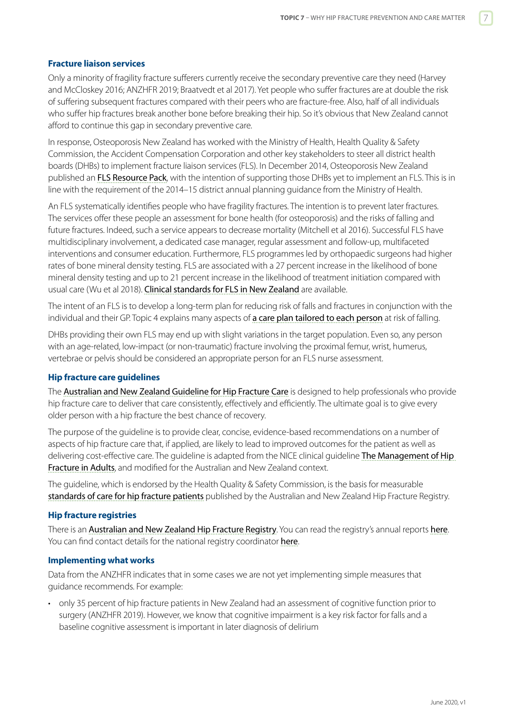#### **Fracture liaison services**

Only a minority of fragility fracture sufferers currently receive the secondary preventive care they need (Harvey and McCloskey 2016; ANZHFR 2019; Braatvedt et al 2017). Yet people who suffer fractures are at double the risk of suffering subsequent fractures compared with their peers who are fracture-free. Also, half of all individuals who suffer hip fractures break another bone before breaking their hip. So it's obvious that New Zealand cannot afford to continue this gap in secondary preventive care.

In response, Osteoporosis New Zealand has worked with the Ministry of Health, Health Quality & Safety Commission, the Accident Compensation Corporation and other key stakeholders to steer all district health boards (DHBs) to implement fracture liaison services (FLS). In December 2014, Osteoporosis New Zealand published an [FLS Resource Pack](https://osteoporosis.org.nz/wp-content/uploads/FLS-resource-pack.pdf), with the intention of supporting those DHBs yet to implement an FLS. This is in line with the requirement of the 2014–15 district annual planning guidance from the Ministry of Health.

An FLS systematically identifies people who have fragility fractures. The intention is to prevent later fractures. The services offer these people an assessment for bone health (for osteoporosis) and the risks of falling and future fractures. Indeed, such a service appears to decrease mortality (Mitchell et al 2016). Successful FLS have multidisciplinary involvement, a dedicated case manager, regular assessment and follow-up, multifaceted interventions and consumer education. Furthermore, FLS programmes led by orthopaedic surgeons had higher rates of bone mineral density testing. FLS are associated with a 27 percent increase in the likelihood of bone mineral density testing and up to 21 percent increase in the likelihood of treatment initiation compared with usual care (Wu et al 2018). [Clinical standards for FLS in New Zealand](http://osteoporosis.org.nz/news/clinical-standards-for-fracture-liaison-services-in-new-zealand/) are available.

The intent of an FLS is to develop a long-term plan for reducing risk of falls and fractures in conjunction with the individual and their GP. Topic 4 explains many aspects of [a care plan tailored to each person](https://www.hqsc.govt.nz/our-programmes/reducing-harm-from-falls/publications-and-resources/publication/2891) at risk of falling.

DHBs providing their own FLS may end up with slight variations in the target population. Even so, any person with an age-related, low-impact (or non-traumatic) fracture involving the proximal femur, wrist, humerus, vertebrae or pelvis should be considered an appropriate person for an FLS nurse assessment.

#### **Hip fracture care guidelines**

The Australian and New Zealand [Guideline for Hip Fracture Care](http://anzhfr.org/wp-content/uploads/2016/07/ANZ-Guideline-for-Hip-Fracture-Care.pdf) is designed to help professionals who provide hip fracture care to deliver that care consistently, effectively and efficiently. The ultimate goal is to give every older person with a hip fracture the best chance of recovery.

The purpose of the guideline is to provide clear, concise, evidence-based recommendations on a number of aspects of hip fracture care that, if applied, are likely to lead to improved outcomes for the patient as well as delivering cost-effective care. The guideline is adapted from the NICE clinical guideline The Management of Hip [Fracture in Adults](https://www.nice.org.uk/guidance/cg124), and modified for the Australian and New Zealand context.

The guideline, which is endorsed by the Health Quality & Safety Commission, is the basis for measurable [standards of care for hip fracture patients](http://anzhfr.org/guidelines-and-standards/) published by the Australian and New Zealand Hip Fracture Registry.

#### **Hip fracture registries**

There is an [Australian and New Zealand Hip Fracture Registry](http://anzhfr.org/). You can read the registry's annual reports [here](https://anzhfr.org/category/annual-report/). You can find contact details for the national registry coordinator [here](http://www.hqsc.govt.nz/our-programmes/reducing-harm-from-falls/projects/clinical-care-standard-for-hip-fracture-care/).

#### **Implementing what works**

Data from the ANZHFR indicates that in some cases we are not yet implementing simple measures that guidance recommends. For example:

• only 35 percent of hip fracture patients in New Zealand had an assessment of cognitive function prior to surgery (ANZHFR 2019). However, we know that cognitive impairment is a key risk factor for falls and a baseline cognitive assessment is important in later diagnosis of delirium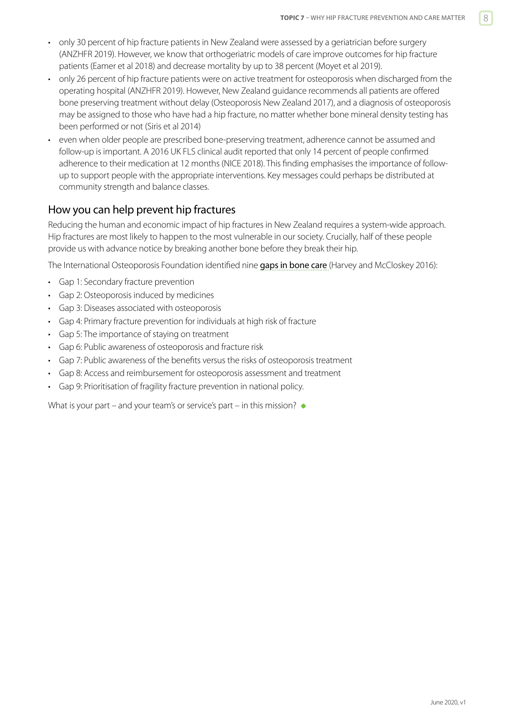- only 30 percent of hip fracture patients in New Zealand were assessed by a geriatrician before surgery (ANZHFR 2019). However, we know that orthogeriatric models of care improve outcomes for hip fracture patients (Eamer et al 2018) and decrease mortality by up to 38 percent (Moyet et al 2019).
- only 26 percent of hip fracture patients were on active treatment for osteoporosis when discharged from the operating hospital (ANZHFR 2019). However, New Zealand guidance recommends all patients are offered bone preserving treatment without delay (Osteoporosis New Zealand 2017), and a diagnosis of osteoporosis may be assigned to those who have had a hip fracture, no matter whether bone mineral density testing has been performed or not (Siris et al 2014)
- even when older people are prescribed bone-preserving treatment, adherence cannot be assumed and follow-up is important. A 2016 UK FLS clinical audit reported that only 14 percent of people confirmed adherence to their medication at 12 months (NICE 2018). This finding emphasises the importance of followup to support people with the appropriate interventions. Key messages could perhaps be distributed at community strength and balance classes.

#### How you can help prevent hip fractures

Reducing the human and economic impact of hip fractures in New Zealand requires a system-wide approach. Hip fractures are most likely to happen to the most vulnerable in our society. Crucially, half of these people provide us with advance notice by breaking another bone before they break their hip.

The International Osteoporosis Foundation identified nine [gaps in bone care](https://www.iofbonehealth.org/thematic-report-2016) (Harvey and McCloskey 2016):

- Gap 1: Secondary fracture prevention
- Gap 2: Osteoporosis induced by medicines
- Gap 3: Diseases associated with osteoporosis
- Gap 4: Primary fracture prevention for individuals at high risk of fracture
- Gap 5: The importance of staying on treatment
- Gap 6: Public awareness of osteoporosis and fracture risk
- Gap 7: Public awareness of the benefits versus the risks of osteoporosis treatment
- Gap 8: Access and reimbursement for osteoporosis assessment and treatment
- Gap 9: Prioritisation of fragility fracture prevention in national policy.

What is your part – and your team's or service's part – in this mission?  $\bullet$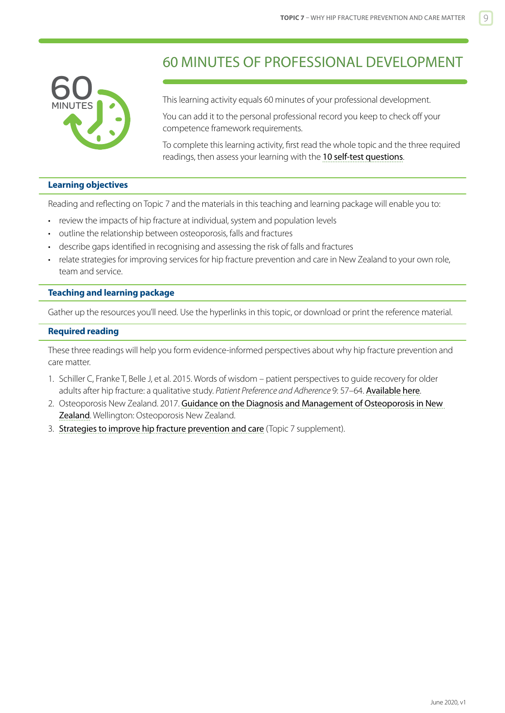<span id="page-8-0"></span>

## 60 MINUTES OF PROFESSIONAL DEVELOPMENT

This learning activity equals 60 minutes of your professional development.

You can add it to the personal professional record you keep to check off your competence framework requirements.

To complete this learning activity, first read the whole topic and the three required readings, then assess your learning with the [10 self-test questions](#page-10-0).

#### **Learning objectives**

Reading and reflecting on Topic 7 and the materials in this teaching and learning package will enable you to:

- review the impacts of hip fracture at individual, system and population levels
- outline the relationship between osteoporosis, falls and fractures
- describe gaps identified in recognising and assessing the risk of falls and fractures
- relate strategies for improving services for hip fracture prevention and care in New Zealand to your own role, team and service.

#### **Teaching and learning package**

Gather up the resources you'll need. Use the hyperlinks in this topic, or download or print the reference material.

#### **Required reading**

These three readings will help you form evidence-informed perspectives about why hip fracture prevention and care matter.

- 1. Schiller C, Franke T, Belle J, et al. 2015. Words of wisdom patient perspectives to guide recovery for older adults after hip fracture: a qualitative study. *Patient Preference and Adherence* 9: 57–64. [Available here](https://www.ncbi.nlm.nih.gov/pmc/articles/PMC4298293/).
- 2. Osteoporosis New Zealand. 2017. [Guidance on the Diagnosis and Management of Osteoporosis in New](http://osteoporosis.org.nz/resources/health-professionals/clinical-guidance/)  [Zealand](http://osteoporosis.org.nz/resources/health-professionals/clinical-guidance/). Wellington: Osteoporosis New Zealand.
- 3. [Strategies to improve hip fracture prevention and care](https://www.hqsc.govt.nz/our-programmes/reducing-harm-from-falls/publications-and-resources/publication/2878) (Topic 7 supplement).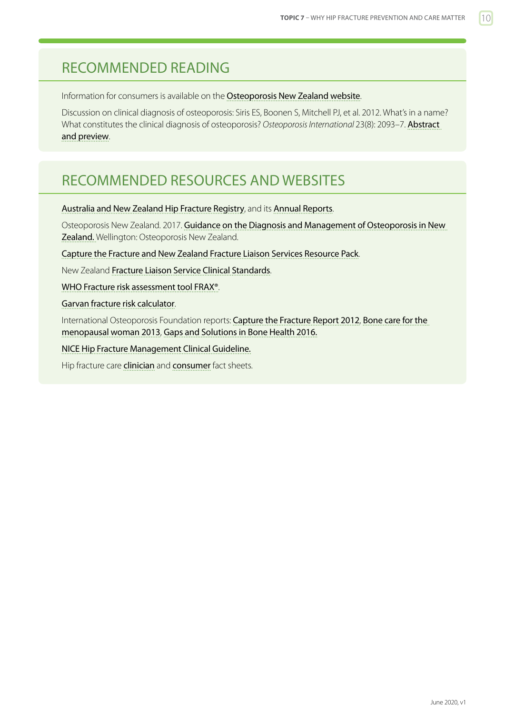## <span id="page-9-0"></span>RECOMMENDED READING

Information for consumers is available on the [Osteoporosis New Zealand website](https://osteoporosis.org.nz).

Discussion on clinical diagnosis of osteoporosis: Siris ES, Boonen S, Mitchell PJ, et al. 2012. What's in a name? What constitutes the clinical diagnosis of osteoporosis? *Osteoporosis International* 23(8): 2093–7. [Abstract](http://link.springer.com/article/10.1007/s00198-012-1991-0)  [and preview](http://link.springer.com/article/10.1007/s00198-012-1991-0).

### RECOMMENDED RESOURCES AND WEBSITES

[Australia and New Zealand Hip Fracture Registry](http://anzhfr.org), and its [Annual Reports](https://anzhfr.org/category/annual-report/).

Osteoporosis New Zealand. 2017. [Guidance on the Diagnosis and Management of Osteoporosis in New](http://osteoporosis.org.nz/resources/health-professionals/clinical-guidance/)  [Zealand.](http://osteoporosis.org.nz/resources/health-professionals/clinical-guidance/) Wellington: Osteoporosis New Zealand.

[Capture the Fracture and New Zealand Fracture Liaison Services Resource Pack](http://www.capturethefracture.org).

New Zealand [Fracture Liaison Service Clinical Standards](https://osteoporosis.org.nz/resources/health-professionals/clinical-standards-for-fls/).

[WHO Fracture risk assessment tool FRAX®](http://www.shef.ac.uk/FRAX/).

[Garvan fracture risk calculator](https://www.garvan.org.au/bone-fracture-risk/).

International Osteoporosis Foundation reports: [Capture the Fracture Report 2012](https://www.iofbonehealth.org/capture-fracture-report-2012), [Bone care for the](https://www.iofbonehealth.org/data-publications/reports/bone-care-postmenopausal-woman)  [menopausal woman 2013](https://www.iofbonehealth.org/data-publications/reports/bone-care-postmenopausal-woman), [Gaps and Solutions in Bone Health 2016.](https://www.iofbonehealth.org/thematic-report-2016)

[NICE Hip Fracture Management Clinical Guideline.](https://www.nice.org.uk/guidance/cg124)

Hip fracture care [clinician](https://www.safetyandquality.gov.au/wp-content/uploads/2016/09/Hip-Fracture-Care-CCS-Fact-Sheet-Clinician_tagged.pdf) and [consumer](https://www.safetyandquality.gov.au/wp-content/uploads/2016/09/Hip-Fracture-Care-CCS-Fact-Sheet-Consumer_tagged.pdf) fact sheets.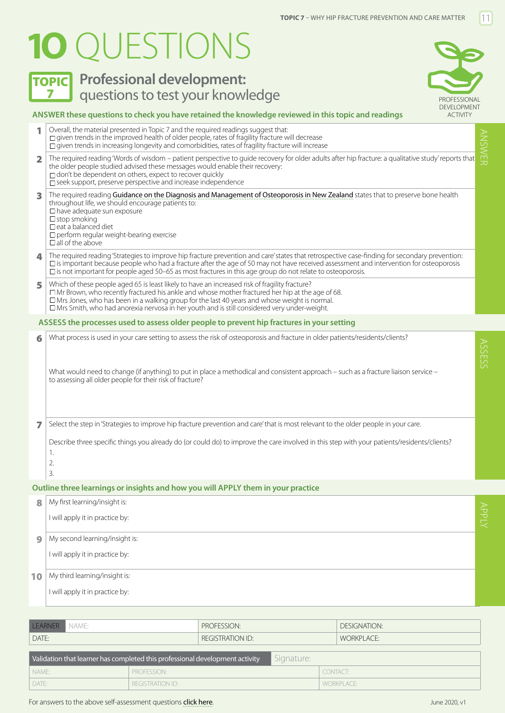# <span id="page-10-0"></span>**1O** QUESTIONS



## **TOPIC** Professional development: **7** PROFESSIONAL **questions to test your knowledge**



#### **ANSWER these questions to check you have retained the knowledge reviewed in this topic and readings**

 $\blacksquare$  Overall, the material presented in Topic 7 and the required readings suggest that:  $\Box$  given trends in the improved health of older people, rates of fragility fracture will decrease  $\Box$  given trends in increasing longevity and comorbidities, rates of fragility fracture will increase 2 The required reading 'Words of wisdom – patient perspective to guide recovery for older adults after hip fracture: a qualitative study' reports that the older people studied advised these messages would enable their recovery:  $\Box$  don't be dependent on others, expect to recover quickly  $\square$  seek support, preserve perspective and increase independence 3 The required reading [Guidance on the Diagnosis and Management of Osteoporosis in New Zealand](http://osteoporosis.org.nz/resources/health-professionals/clinical-guidance/) states that to preserve bone health throughout life, we should encourage patients to:  $\Box$  have adequate sun exposure  $\square$  stop smoking  $\square$  eat a balanced diet  $\Box$  perform regular weight-bearing exercise  $\Box$  all of the above 4 The required reading 'Strategies to improve hip fracture prevention and care' states that retrospective case-finding for secondary prevention:  $\square$  is important because people who had a fracture after the age of 50 may not have received assessment and intervention for osteoporosis is not important for people aged 50–65 as most fractures in this age group do not relate to osteoporosis. 5 Which of these people aged 65 is least likely to have an increased risk of fragility fracture?  $\Box$  Mr Brown, who recently fractured his ankle and whose mother fractured her hip at the age of 68. Mrs Jones, who has been in a walking group for the last 40 years and whose weight is normal. Mrs Smith, who had anorexia nervosa in her youth and is still considered very under-weight. 6 What process is used in your care setting to assess the risk of osteoporosis and fracture in older patients/residents/clients? What would need to change (if anything) to put in place a methodical and consistent approach – such as a fracture liaison service – to assessing all older people for their risk of fracture? 7 Select the step in 'Strategies to improve hip fracture prevention and care' that is most relevant to the older people in your care. Describe three specific things you already do (or could do) to improve the care involved in this step with your patients/residents/clients? 1. 2. 3. ANSWER ASSESS **ASSESS the processes used to assess older people to prevent hip fractures in your setting**

#### **Outline three learnings or insights and how you will APPLY them in your practice**

DATE: NORKPLACE: REGISTRATION ID: REGISTRATION ID: WORKPLACE:

| 8            | My first learning/insight is:   |  |
|--------------|---------------------------------|--|
|              | I will apply it in practice by: |  |
| $\mathbf{9}$ | My second learning/insight is:  |  |
|              | I will apply it in practice by: |  |
| 10           | My third learning/insight is:   |  |
|              | I will apply it in practice by: |  |
|              |                                 |  |

| <b>IFARNER   NAME:</b>                                                                     |             | PROFESSION:             |  | DESIGNATION: |  |  |  |  |
|--------------------------------------------------------------------------------------------|-------------|-------------------------|--|--------------|--|--|--|--|
| DATE:                                                                                      |             | <b>REGISTRATION ID:</b> |  | WORKPLACE:   |  |  |  |  |
| Signature:<br>Validation that learner has completed this professional development activity |             |                         |  |              |  |  |  |  |
| I NAME:                                                                                    | PROFESSION: |                         |  | CONTACT:     |  |  |  |  |